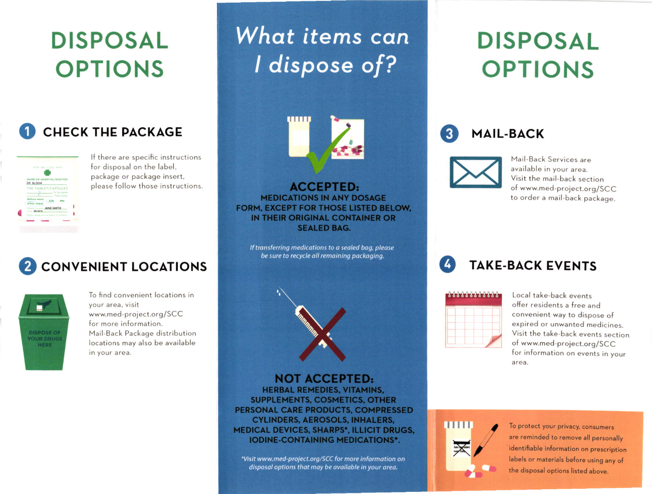## **DISPOSAL OPTIONS**

#### **CHECK THE PACKAGE**



If there are specific instructions for disposal on the label, package or package insert, please follow those instructions.

#### **CONVENIENT LOCATIONS**



To find convenient locations in vour area, visit www.med-project.org/SCC for more information. Mail-Back Package distribution locations may also be available in your area.

# What items can I dispose of?



**ACCEPTED: MEDICATIONS IN ANY DOSAGE** FORM, EXCEPT FOR THOSE LISTED BELOW. IN THEIR ORIGINAL CONTAINER OR **SEALED BAG.** 

If transferring medications to a sealed bag, please be sure to recycle all remaining packaging.



**NOT ACCEPTED: HERBAL REMEDIES, VITAMINS. SUPPLEMENTS, COSMETICS, OTHER** PERSONAL CARE PRODUCTS, COMPRESSED **CYLINDERS, AEROSOLS, INHALERS, MEDICAL DEVICES, SHARPS\*, ILLICIT DRUGS, IODINE-CONTAINING MEDICATIONS\*.** 

\*Visit www.med-project.org/SCC for more information on disposal options that may be available in your area.

# **DISPOSAL OPTIONS**





Mail-Back Services are available in your area. Visit the mail-back section of www.med-project.org/SCC to order a mail-back package.

**TAKE-BACK EVENTS** 

Local take-back events offer residents a free and convenient way to dispose of expired or unwanted medicines. Visit the take-back events section of www.med-project.org/SCC for information on events in your area.



To protect your privacy, consumers are reminded to remove all personally identifiable information on prescription labels or materials before using any of the disposal options listed above.